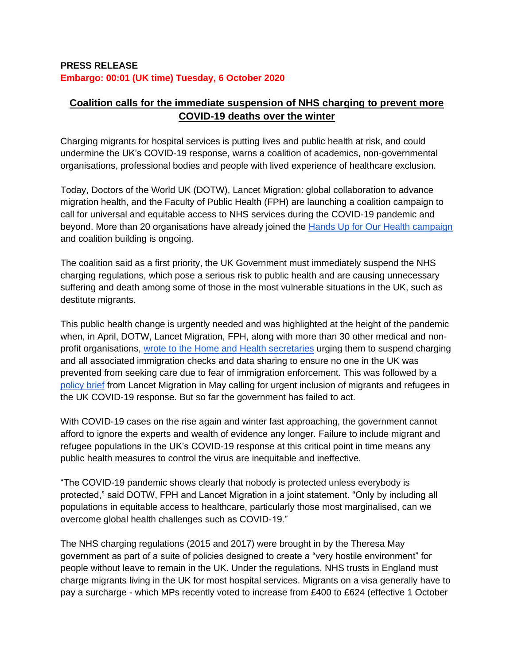## **PRESS RELEASE Embargo: 00:01 (UK time) Tuesday, 6 October 2020**

# **Coalition calls for the immediate suspension of NHS charging to prevent more COVID-19 deaths over the winter**

Charging migrants for hospital services is putting lives and public health at risk, and could undermine the UK's COVID-19 response, warns a coalition of academics, non-governmental organisations, professional bodies and people with lived experience of healthcare exclusion.

Today, Doctors of the World UK (DOTW), Lancet Migration: global collaboration to advance migration health, and the Faculty of Public Health (FPH) are launching a coalition campaign to call for universal and equitable access to NHS services during the COVID-19 pandemic and beyond. More than 20 organisations have already joined the [Hands Up for Our Health campaign](http://www.handsupforourhealth.org.uk/) and coalition building is ongoing.

The coalition said as a first priority, the UK Government must immediately suspend the NHS charging regulations, which pose a serious risk to public health and are causing unnecessary suffering and death among some of those in the most vulnerable situations in the UK, such as destitute migrants.

This public health change is urgently needed and was highlighted at the height of the pandemic when, in April, DOTW, Lancet Migration, FPH, along with more than 30 other medical and nonprofit organisations, [wrote to the Home and Health secretaries](https://www.doctorsoftheworld.org.uk/wp-content/uploads/2020/04/Letter-to-HS-and-SSHSC_13.04.2020.pdf) urging them to suspend charging and all associated immigration checks and data sharing to ensure no one in the UK was prevented from seeking care due to fear of immigration enforcement. This was followed by a [policy brief](https://1bec58c3-8dcb-46b0-bb2a-fd4addf0b29a.filesusr.com/ugd/188e74_620055fdbdaf445e9d7a26bb9073b563.pdf) from Lancet Migration in May calling for urgent inclusion of migrants and refugees in the UK COVID-19 response. But so far the government has failed to act.

With COVID-19 cases on the rise again and winter fast approaching, the government cannot afford to ignore the experts and wealth of evidence any longer. Failure to include migrant and refugee populations in the UK's COVID-19 response at this critical point in time means any public health measures to control the virus are inequitable and ineffective.

"The COVID-19 pandemic shows clearly that nobody is protected unless everybody is protected," said DOTW, FPH and Lancet Migration in a joint statement. "Only by including all populations in equitable access to healthcare, particularly those most marginalised, can we overcome global health challenges such as COVID-19."

The NHS charging regulations (2015 and 2017) were brought in by the Theresa May government as part of a suite of policies designed to create a "very hostile environment" for people without leave to remain in the UK. Under the regulations, NHS trusts in England must charge migrants living in the UK for most hospital services. Migrants on a visa generally have to pay a surcharge - which MPs recently voted to increase from £400 to £624 (effective 1 October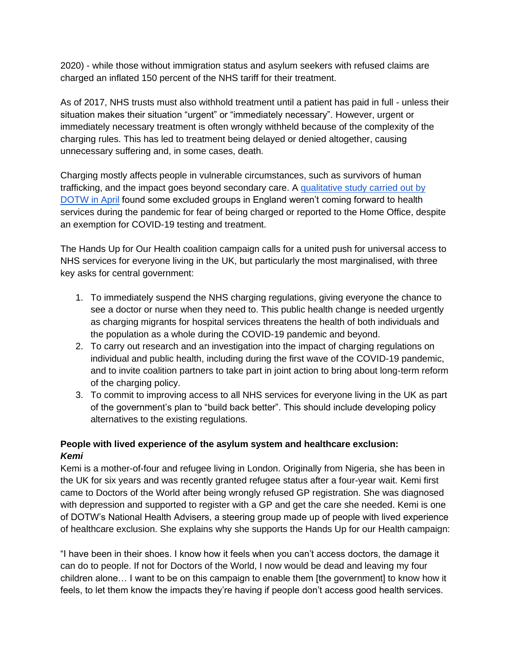2020) - while those without immigration status and asylum seekers with refused claims are charged an inflated 150 percent of the NHS tariff for their treatment.

As of 2017, NHS trusts must also withhold treatment until a patient has paid in full - unless their situation makes their situation "urgent" or "immediately necessary". However, urgent or immediately necessary treatment is often wrongly withheld because of the complexity of the charging rules. This has led to treatment being delayed or denied altogether, causing unnecessary suffering and, in some cases, death.

Charging mostly affects people in vulnerable circumstances, such as survivors of human trafficking, and the impact goes beyond secondary care. A [qualitative study carried out by](https://www.doctorsoftheworld.org.uk/wp-content/uploads/2020/07/covid19-brief-rna-report.pdf)  [DOTW in April](https://www.doctorsoftheworld.org.uk/wp-content/uploads/2020/07/covid19-brief-rna-report.pdf) found some excluded groups in England weren't coming forward to health services during the pandemic for fear of being charged or reported to the Home Office, despite an exemption for COVID-19 testing and treatment.

The Hands Up for Our Health coalition campaign calls for a united push for universal access to NHS services for everyone living in the UK, but particularly the most marginalised, with three key asks for central government:

- 1. To immediately suspend the NHS charging regulations, giving everyone the chance to see a doctor or nurse when they need to. This public health change is needed urgently as charging migrants for hospital services threatens the health of both individuals and the population as a whole during the COVID-19 pandemic and beyond.
- 2. To carry out research and an investigation into the impact of charging regulations on individual and public health, including during the first wave of the COVID-19 pandemic, and to invite coalition partners to take part in joint action to bring about long-term reform of the charging policy.
- 3. To commit to improving access to all NHS services for everyone living in the UK as part of the government's plan to "build back better". This should include developing policy alternatives to the existing regulations.

## **People with lived experience of the asylum system and healthcare exclusion:** *Kemi*

Kemi is a mother-of-four and refugee living in London. Originally from Nigeria, she has been in the UK for six years and was recently granted refugee status after a four-year wait. Kemi first came to Doctors of the World after being wrongly refused GP registration. She was diagnosed with depression and supported to register with a GP and get the care she needed. Kemi is one of DOTW's National Health Advisers, a steering group made up of people with lived experience of healthcare exclusion. She explains why she supports the Hands Up for our Health campaign:

"I have been in their shoes. I know how it feels when you can't access doctors, the damage it can do to people. If not for Doctors of the World, I now would be dead and leaving my four children alone… I want to be on this campaign to enable them [the government] to know how it feels, to let them know the impacts they're having if people don't access good health services.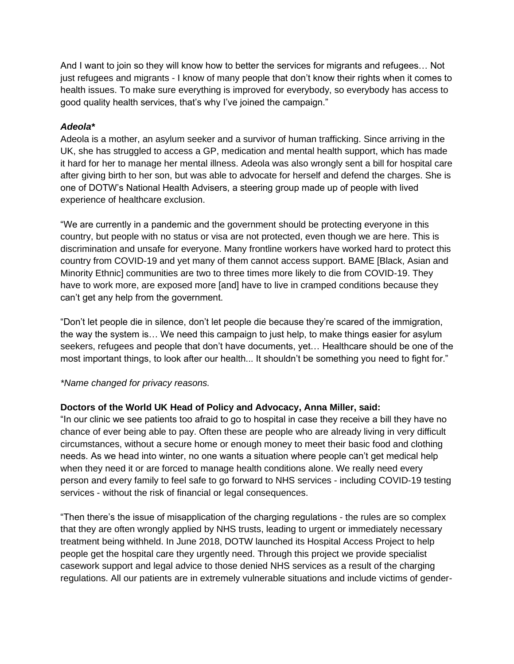And I want to join so they will know how to better the services for migrants and refugees… Not just refugees and migrants - I know of many people that don't know their rights when it comes to health issues. To make sure everything is improved for everybody, so everybody has access to good quality health services, that's why I've joined the campaign."

### *Adeola\**

Adeola is a mother, an asylum seeker and a survivor of human trafficking. Since arriving in the UK, she has struggled to access a GP, medication and mental health support, which has made it hard for her to manage her mental illness. Adeola was also wrongly sent a bill for hospital care after giving birth to her son, but was able to advocate for herself and defend the charges. She is one of DOTW's National Health Advisers, a steering group made up of people with lived experience of healthcare exclusion.

"We are currently in a pandemic and the government should be protecting everyone in this country, but people with no status or visa are not protected, even though we are here. This is discrimination and unsafe for everyone. Many frontline workers have worked hard to protect this country from COVID-19 and yet many of them cannot access support. BAME [Black, Asian and Minority Ethnic] communities are two to three times more likely to die from COVID-19. They have to work more, are exposed more [and] have to live in cramped conditions because they can't get any help from the government.

"Don't let people die in silence, don't let people die because they're scared of the immigration, the way the system is… We need this campaign to just help, to make things easier for asylum seekers, refugees and people that don't have documents, yet… Healthcare should be one of the most important things, to look after our health... It shouldn't be something you need to fight for."

#### *\*Name changed for privacy reasons.*

## **Doctors of the World UK Head of Policy and Advocacy, Anna Miller, said:**

"In our clinic we see patients too afraid to go to hospital in case they receive a bill they have no chance of ever being able to pay. Often these are people who are already living in very difficult circumstances, without a secure home or enough money to meet their basic food and clothing needs. As we head into winter, no one wants a situation where people can't get medical help when they need it or are forced to manage health conditions alone. We really need every person and every family to feel safe to go forward to NHS services - including COVID-19 testing services - without the risk of financial or legal consequences.

"Then there's the issue of misapplication of the charging regulations - the rules are so complex that they are often wrongly applied by NHS trusts, leading to urgent or immediately necessary treatment being withheld. In June 2018, DOTW launched its Hospital Access Project to help people get the hospital care they urgently need. Through this project we provide specialist casework support and legal advice to those denied NHS services as a result of the charging regulations. All our patients are in extremely vulnerable situations and include victims of gender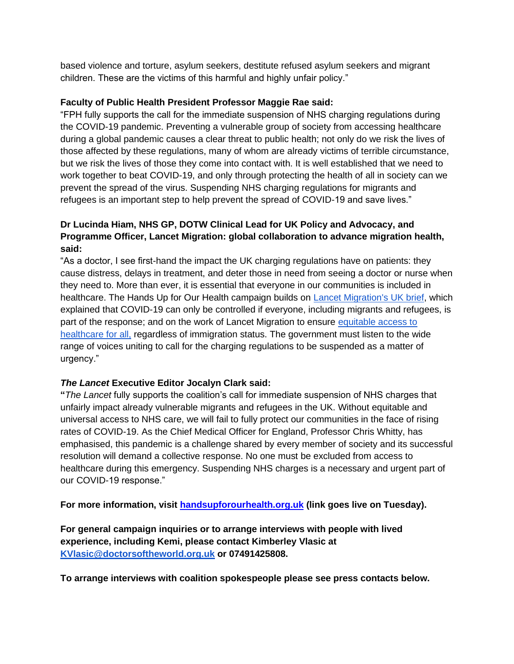based violence and torture, asylum seekers, destitute refused asylum seekers and migrant children. These are the victims of this harmful and highly unfair policy."

## **Faculty of Public Health President Professor Maggie Rae said:**

"FPH fully supports the call for the immediate suspension of NHS charging regulations during the COVID-19 pandemic. Preventing a vulnerable group of society from accessing healthcare during a global pandemic causes a clear threat to public health; not only do we risk the lives of those affected by these regulations, many of whom are already victims of terrible circumstance, but we risk the lives of those they come into contact with. It is well established that we need to work together to beat COVID-19, and only through protecting the health of all in society can we prevent the spread of the virus. Suspending NHS charging regulations for migrants and refugees is an important step to help prevent the spread of COVID-19 and save lives."

## **Dr Lucinda Hiam, NHS GP, DOTW Clinical Lead for UK Policy and Advocacy, and Programme Officer, Lancet Migration: global collaboration to advance migration health, said:**

"As a doctor, I see first-hand the impact the UK charging regulations have on patients: they cause distress, delays in treatment, and deter those in need from seeing a doctor or nurse when they need to. More than ever, it is essential that everyone in our communities is included in healthcare. The Hands Up for Our Health campaign builds on [Lancet Migration's UK brief,](https://1bec58c3-8dcb-46b0-bb2a-fd4addf0b29a.filesusr.com/ugd/188e74_620055fdbdaf445e9d7a26bb9073b563.pdf) which explained that COVID-19 can only be controlled if everyone, including migrants and refugees, is part of the response; and on the work of Lancet Migration to ensure [equitable access to](https://www.thelancet.com/commissions/migration-health)  [healthcare for all,](https://www.thelancet.com/commissions/migration-health) regardless of immigration status. The government must listen to the wide range of voices uniting to call for the charging regulations to be suspended as a matter of urgency."

## *The Lancet* **Executive Editor Jocalyn Clark said:**

**"***The Lancet* fully supports the coalition's call for immediate suspension of NHS charges that unfairly impact already vulnerable migrants and refugees in the UK. Without equitable and universal access to NHS care, we will fail to fully protect our communities in the face of rising rates of COVID-19. As the Chief Medical Officer for England, Professor Chris Whitty, has emphasised, this pandemic is a challenge shared by every member of society and its successful resolution will demand a collective response. No one must be excluded from access to healthcare during this emergency. Suspending NHS charges is a necessary and urgent part of our COVID-19 response."

**For more information, visit [handsupforourhealth.org.uk](https://www.handsupforourhealth.org.uk/) (link goes live on Tuesday).** 

**For general campaign inquiries or to arrange interviews with people with lived experience, including Kemi, please contact Kimberley Vlasic at [KVlasic@doctorsoftheworld.org.uk](mailto:KVlasic@doctorsoftheworld.org.uk) or 07491425808.** 

**To arrange interviews with coalition spokespeople please see press contacts below.**